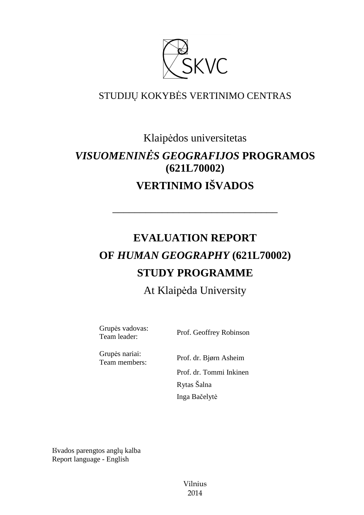

# STUDIJŲ KOKYBĖS VERTINIMO CENTRAS

# Klaipėdos universitetas *VISUOMENINĖS GEOGRAFIJOS* **PROGRAMOS (621L70002) VERTINIMO IŠVADOS**

# **EVALUATION REPORT OF** *HUMAN GEOGRAPHY* **(621L70002) STUDY PROGRAMME**

––––––––––––––––––––––––––––––

# At Klaipėda University

Grupės vadovas:<br>Team leader:

Prof. Geoffrey Robinson

Grupės nariai:

Team members: Prof. dr. Bjørn Asheim Prof. dr. Tommi Inkinen Rytas Šalna Inga Bačelytė

Išvados parengtos anglų kalba Report language - English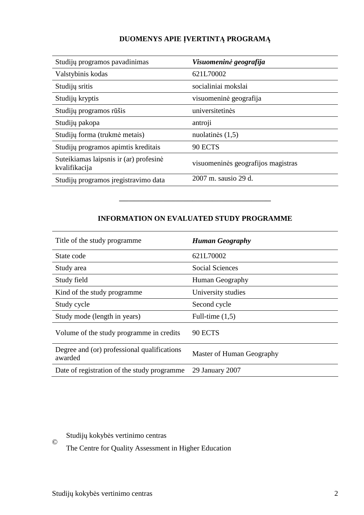# **DUOMENYS APIE ĮVERTINTĄ PROGRAMĄ**

| Studijų programos pavadinimas                           | Visuomeninė geografija             |
|---------------------------------------------------------|------------------------------------|
| Valstybinis kodas                                       | 621L70002                          |
| Studijų sritis                                          | socialiniai mokslai                |
| Studijų kryptis                                         | visuomeninė geografija             |
| Studijų programos rūšis                                 | universitetinės                    |
| Studijų pakopa                                          | antroji                            |
| Studijų forma (trukmė metais)                           | nuolatinės $(1,5)$                 |
| Studijų programos apimtis kreditais                     | 90 ECTS                            |
| Suteikiamas laipsnis ir (ar) profesinė<br>kvalifikacija | visuomeninės geografijos magistras |
| Studijų programos įregistravimo data                    | 2007 m. sausio 29 d.               |

# **INFORMATION ON EVALUATED STUDY PROGRAMME**

–––––––––––––––––––––––––––––––

| Title of the study programme.                          | <b>Human Geography</b>    |
|--------------------------------------------------------|---------------------------|
| State code                                             | 621L70002                 |
| Study area                                             | Social Sciences           |
| Study field                                            | Human Geography           |
| Kind of the study programme.                           | University studies        |
| Study cycle                                            | Second cycle              |
| Study mode (length in years)                           | Full-time $(1,5)$         |
| Volume of the study programme in credits               | 90 ECTS                   |
| Degree and (or) professional qualifications<br>awarded | Master of Human Geography |
| Date of registration of the study programme            | 29 January 2007           |

Studijų kokybės vertinimo centras

The Centre for Quality Assessment in Higher Education

©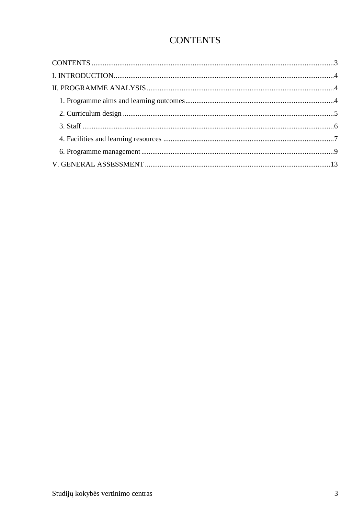# **CONTENTS**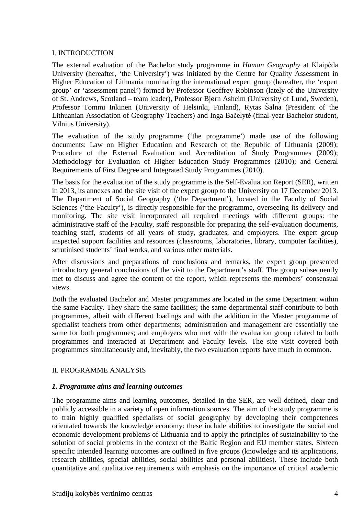#### I. INTRODUCTION

The external evaluation of the Bachelor study programme in *Human Geography* at Klaipėda University (hereafter, 'the University') was initiated by the Centre for Quality Assessment in Higher Education of Lithuania nominating the international expert group (hereafter, the 'expert group' or 'assessment panel') formed by Professor Geoffrey Robinson (lately of the University of St. Andrews, Scotland – team leader), Professor Bjørn Asheim (University of Lund, Sweden), Professor Tommi Inkinen (University of Helsinki, Finland), Rytas Šalna (President of the Lithuanian Association of Geography Teachers) and Inga Bačelytė (final-year Bachelor student, Vilnius University).

The evaluation of the study programme ('the programme') made use of the following documents: Law on Higher Education and Research of the Republic of Lithuania (2009); Procedure of the External Evaluation and Accreditation of Study Programmes (2009); Methodology for Evaluation of Higher Education Study Programmes (2010); and General Requirements of First Degree and Integrated Study Programmes (2010).

The basis for the evaluation of the study programme is the Self-Evaluation Report (SER), written in 2013, its annexes and the site visit of the expert group to the University on 17 December 2013. The Department of Social Geography ('the Department'), located in the Faculty of Social Sciences ('the Faculty'), is directly responsible for the programme, overseeing its delivery and monitoring. The site visit incorporated all required meetings with different groups: the administrative staff of the Faculty, staff responsible for preparing the self-evaluation documents, teaching staff, students of all years of study, graduates, and employers. The expert group inspected support facilities and resources (classrooms, laboratories, library, computer facilities), scrutinised students' final works, and various other materials.

After discussions and preparations of conclusions and remarks, the expert group presented introductory general conclusions of the visit to the Department's staff. The group subsequently met to discuss and agree the content of the report, which represents the members' consensual views.

Both the evaluated Bachelor and Master programmes are located in the same Department within the same Faculty. They share the same facilities; the same departmental staff contribute to both programmes, albeit with different loadings and with the addition in the Master programme of specialist teachers from other departments; administration and management are essentially the same for both programmes; and employers who met with the evaluation group related to both programmes and interacted at Department and Faculty levels. The site visit covered both programmes simultaneously and, inevitably, the two evaluation reports have much in common.

# II. PROGRAMME ANALYSIS

#### *1. Programme aims and learning outcomes*

The programme aims and learning outcomes, detailed in the SER, are well defined, clear and publicly accessible in a variety of open information sources. The aim of the study programme is to train highly qualified specialists of social geography by developing their competences orientated towards the knowledge economy: these include abilities to investigate the social and economic development problems of Lithuania and to apply the principles of sustainability to the solution of social problems in the context of the Baltic Region and EU member states. Sixteen specific intended learning outcomes are outlined in five groups (knowledge and its applications, research abilities, special abilities, social abilities and personal abilities). These include both quantitative and qualitative requirements with emphasis on the importance of critical academic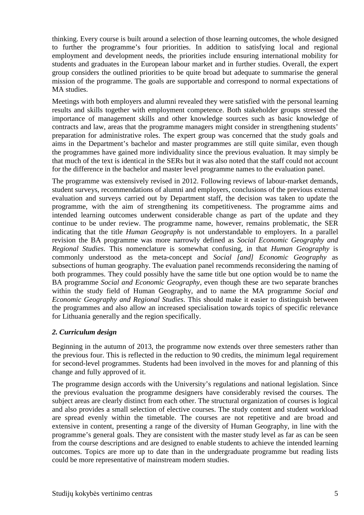thinking. Every course is built around a selection of those learning outcomes, the whole designed to further the programme's four priorities. In addition to satisfying local and regional employment and development needs, the priorities include ensuring international mobility for students and graduates in the European labour market and in further studies. Overall, the expert group considers the outlined priorities to be quite broad but adequate to summarise the general mission of the programme. The goals are supportable and correspond to normal expectations of MA studies.

Meetings with both employers and alumni revealed they were satisfied with the personal learning results and skills together with employment competence. Both stakeholder groups stressed the importance of management skills and other knowledge sources such as basic knowledge of contracts and law, areas that the programme managers might consider in strengthening students' preparation for administrative roles. The expert group was concerned that the study goals and aims in the Department's bachelor and master programmes are still quite similar, even though the programmes have gained more individuality since the previous evaluation. It may simply be that much of the text is identical in the SERs but it was also noted that the staff could not account for the difference in the bachelor and master level programme names to the evaluation panel.

The programme was extensively revised in 2012. Following reviews of labour-market demands, student surveys, recommendations of alumni and employers, conclusions of the previous external evaluation and surveys carried out by Department staff, the decision was taken to update the programme, with the aim of strengthening its competitiveness. The programme aims and intended learning outcomes underwent considerable change as part of the update and they continue to be under review. The programme name, however, remains problematic, the SER indicating that the title *Human Geography* is not understandable to employers. In a parallel revision the BA programme was more narrowly defined as *Social Economic Geography and Regional Studies*. This nomenclature is somewhat confusing, in that *Human Geography* is commonly understood as the meta-concept and *Social [and] Economic Geography* as subsections of human geography. The evaluation panel recommends reconsidering the naming of both programmes. They could possibly have the same title but one option would be to name the BA programme *Social and Economic Geography*, even though these are two separate branches within the study field of Human Geography, and to name the MA programme *Social and Economic Geography and Regional Studies*. This should make it easier to distinguish between the programmes and also allow an increased specialisation towards topics of specific relevance for Lithuania generally and the region specifically.

# *2. Curriculum design*

Beginning in the autumn of 2013, the programme now extends over three semesters rather than the previous four. This is reflected in the reduction to 90 credits, the minimum legal requirement for second-level programmes. Students had been involved in the moves for and planning of this change and fully approved of it.

The programme design accords with the University's regulations and national legislation. Since the previous evaluation the programme designers have considerably revised the courses. The subject areas are clearly distinct from each other. The structural organization of courses is logical and also provides a small selection of elective courses. The study content and student workload are spread evenly within the timetable. The courses are not repetitive and are broad and extensive in content, presenting a range of the diversity of Human Geography, in line with the programme's general goals. They are consistent with the master study level as far as can be seen from the course descriptions and are designed to enable students to achieve the intended learning outcomes. Topics are more up to date than in the undergraduate programme but reading lists could be more representative of mainstream modern studies.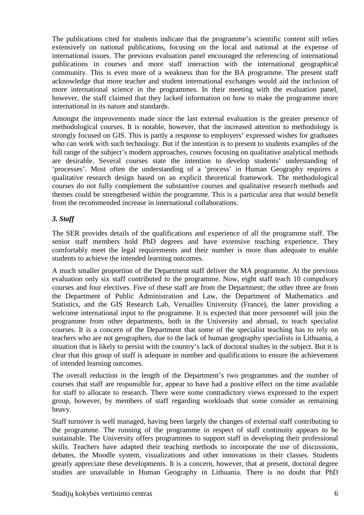The publications cited for students indicate that the programme's scientific content still relies extensively on national publications, focusing on the local and national at the expense of international issues. The previous evaluation panel encouraged the referencing of international publications in courses and more staff interaction with the international geographical community. This is even more of a weakness than for the BA programme. The present staff acknowledge that more teacher and student international exchanges would aid the inclusion of more international science in the programmes. In their meeting with the evaluation panel, however, the staff claimed that they lacked information on how to make the programme more international in its nature and standards.

Amongst the improvements made since the last external evaluation is the greater presence of methodological courses. It is notable, however, that the increased attention to methodology is strongly focused on GIS. This is partly a response to employers' expressed wishes for graduates who can work with such technology. But if the intention is to present to students examples of the full range of the subject's modern approaches, courses focusing on qualitative analytical methods are desirable. Several courses state the intention to develop students' understanding of 'processes'. Most often the understanding of a 'process' in Human Geography requires a qualitative research design based on an explicit theoretical framework. The methodological courses do not fully complement the substantive courses and qualitative research methods and themes could be strengthened within the programme. This is a particular area that would benefit from the recommended increase in international collaborations.

# *3. Staff*

The SER provides details of the qualifications and experience of all the programme staff. The senior staff members hold PhD degrees and have extensive teaching experience. They comfortably meet the legal requirements and their number is more than adequate to enable students to achieve the intended learning outcomes.

A much smaller proportion of the Department staff deliver the MA programme. At the previous evaluation only six staff contributed to the programme. Now, eight staff teach 10 compulsory courses and four electives. Five of these staff are from the Department; the other three are from the Department of Public Administration and Law, the Department of Mathematics and Statistics, and the GIS Research Lab, Versailles University (France), the latter providing a welcome international input to the programme. It is expected that more personnel will join the programme from other departments, both in the University and abroad, to teach specialist courses. It is a concern of the Department that some of the specialist teaching has to rely on teachers who are not geographers, due to the lack of human geography specialists in Lithuania, a situation that is likely to persist with the country's lack of doctoral studies in the subject. But it is clear that this group of staff is adequate in number and qualifications to ensure the achievement of intended learning outcomes.

The overall reduction in the length of the Department's two programmes and the number of courses that staff are responsible for, appear to have had a positive effect on the time available for staff to allocate to research. There were some contradictory views expressed to the expert group, however, by members of staff regarding workloads that some consider as remaining heavy.

Staff turnover is well managed, having been largely the changes of external staff contributing to the programme. The running of the programme in respect of staff continuity appears to be sustainable. The University offers programmes to support staff in developing their professional skills. Teachers have adapted their teaching methods to incorporate the use of discussions, debates, the Moodle system, visualizations and other innovations in their classes. Students greatly appreciate these developments. It is a concern, however, that at present, doctoral degree studies are unavailable in Human Geography in Lithuania. There is no doubt that PhD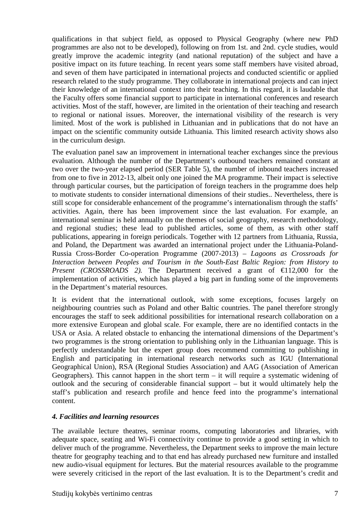qualifications in that subject field, as opposed to Physical Geography (where new PhD programmes are also not to be developed), following on from 1st. and 2nd. cycle studies, would greatly improve the academic integrity (and national reputation) of the subject and have a positive impact on its future teaching. In recent years some staff members have visited abroad, and seven of them have participated in international projects and conducted scientific or applied research related to the study programme. They collaborate in international projects and can inject their knowledge of an international context into their teaching. In this regard, it is laudable that the Faculty offers some financial support to participate in international conferences and research activities. Most of the staff, however, are limited in the orientation of their teaching and research to regional or national issues. Moreover, the international visibility of the research is very limited. Most of the work is published in Lithuanian and in publications that do not have an impact on the scientific community outside Lithuania. This limited research activity shows also in the curriculum design.

The evaluation panel saw an improvement in international teacher exchanges since the previous evaluation. Although the number of the Department's outbound teachers remained constant at two over the two-year elapsed period (SER Table 5), the number of inbound teachers increased from one to five in 2012-13, albeit only one joined the MA programme. Their impact is selective through particular courses, but the participation of foreign teachers in the programme does help to motivate students to consider international dimensions of their studies.. Nevertheless, there is still scope for considerable enhancement of the programme's internationalism through the staffs' activities. Again, there has been improvement since the last evaluation. For example, an international seminar is held annually on the themes of social geography, research methodology, and regional studies; these lead to published articles, some of them, as with other staff publications, appearing in foreign periodicals. Together with 12 partners from Lithuania, Russia, and Poland, the Department was awarded an international project under the Lithuania-Poland-Russia Cross-Border Co-operation Programme (2007-2013) – *Lagoons as Crossroads for Interaction between Peoples and Tourism in the South-East Baltic Region: from History to Present (CROSSROADS 2).* The Department received a grant of  $\epsilon$ 112,000 for the implementation of activities, which has played a big part in funding some of the improvements in the Department's material resources.

It is evident that the international outlook, with some exceptions, focuses largely on neighbouring countries such as Poland and other Baltic countries. The panel therefore strongly encourages the staff to seek additional possibilities for international research collaboration on a more extensive European and global scale. For example, there are no identified contacts in the USA or Asia. A related obstacle to enhancing the international dimensions of the Department's two programmes is the strong orientation to publishing only in the Lithuanian language. This is perfectly understandable but the expert group does recommend committing to publishing in English and participating in international research networks such as IGU (International Geographical Union), RSA (Regional Studies Association) and AAG (Association of American Geographers). This cannot happen in the short term  $-$  it will require a systematic widening of outlook and the securing of considerable financial support – but it would ultimately help the staff's publication and research profile and hence feed into the programme's international content.

#### *4. Facilities and learning resources*

The available lecture theatres, seminar rooms, computing laboratories and libraries, with adequate space, seating and Wi-Fi connectivity continue to provide a good setting in which to deliver much of the programme. Nevertheless, the Department seeks to improve the main lecture theatre for geography teaching and to that end has already purchased new furniture and installed new audio-visual equipment for lectures. But the material resources available to the programme were severely criticised in the report of the last evaluation. It is to the Department's credit and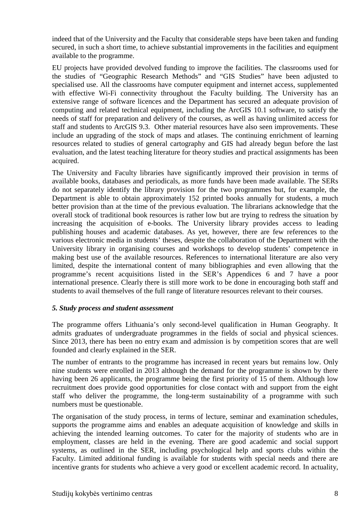indeed that of the University and the Faculty that considerable steps have been taken and funding secured, in such a short time, to achieve substantial improvements in the facilities and equipment available to the programme.

EU projects have provided devolved funding to improve the facilities. The classrooms used for the studies of "Geographic Research Methods" and "GIS Studies" have been adjusted to specialised use. All the classrooms have computer equipment and internet access, supplemented with effective Wi-Fi connectivity throughout the Faculty building. The University has an extensive range of software licences and the Department has secured an adequate provision of computing and related technical equipment, including the ArcGIS 10.1 software, to satisfy the needs of staff for preparation and delivery of the courses, as well as having unlimited access for staff and students to ArcGIS 9.3. Other material resources have also seen improvements. These include an upgrading of the stock of maps and atlases. The continuing enrichment of learning resources related to studies of general cartography and GIS had already begun before the last evaluation, and the latest teaching literature for theory studies and practical assignments has been acquired.

The University and Faculty libraries have significantly improved their provision in terms of available books, databases and periodicals, as more funds have been made available. The SERs do not separately identify the library provision for the two programmes but, for example, the Department is able to obtain approximately 152 printed books annually for students, a much better provision than at the time of the previous evaluation. The librarians acknowledge that the overall stock of traditional book resources is rather low but are trying to redress the situation by increasing the acquisition of e-books. The University library provides access to leading publishing houses and academic databases. As yet, however, there are few references to the various electronic media in students' theses, despite the collaboration of the Department with the University library in organising courses and workshops to develop students' competence in making best use of the available resources. References to international literature are also very limited, despite the international content of many bibliographies and even allowing that the programme's recent acquisitions listed in the SER's Appendices 6 and 7 have a poor international presence. Clearly there is still more work to be done in encouraging both staff and students to avail themselves of the full range of literature resources relevant to their courses.

# *5. Study process and student assessment*

The programme offers Lithuania's only second-level qualification in Human Geography. It admits graduates of undergraduate programmes in the fields of social and physical sciences. Since 2013, there has been no entry exam and admission is by competition scores that are well founded and clearly explained in the SER.

The number of entrants to the programme has increased in recent years but remains low. Only nine students were enrolled in 2013 although the demand for the programme is shown by there having been 26 applicants, the programme being the first priority of 15 of them. Although low recruitment does provide good opportunities for close contact with and support from the eight staff who deliver the programme, the long-term sustainability of a programme with such numbers must be questionable.

The organisation of the study process, in terms of lecture, seminar and examination schedules, supports the programme aims and enables an adequate acquisition of knowledge and skills in achieving the intended learning outcomes. To cater for the majority of students who are in employment, classes are held in the evening. There are good academic and social support systems, as outlined in the SER, including psychological help and sports clubs within the Faculty. Limited additional funding is available for students with special needs and there are incentive grants for students who achieve a very good or excellent academic record. In actuality,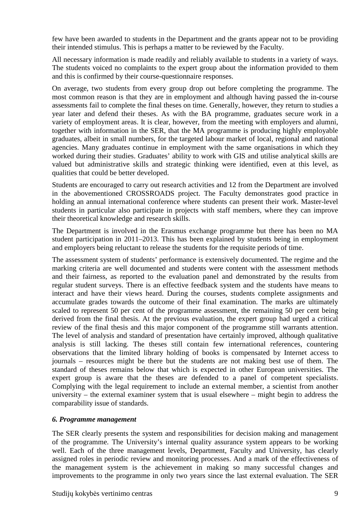few have been awarded to students in the Department and the grants appear not to be providing their intended stimulus. This is perhaps a matter to be reviewed by the Faculty.

All necessary information is made readily and reliably available to students in a variety of ways. The students voiced no complaints to the expert group about the information provided to them and this is confirmed by their course-questionnaire responses.

On average, two students from every group drop out before completing the programme. The most common reason is that they are in employment and although having passed the in-course assessments fail to complete the final theses on time. Generally, however, they return to studies a year later and defend their theses. As with the BA programme, graduates secure work in a variety of employment areas. It is clear, however, from the meeting with employers and alumni, together with information in the SER, that the MA programme is producing highly employable graduates, albeit in small numbers, for the targeted labour market of local, regional and national agencies. Many graduates continue in employment with the same organisations in which they worked during their studies. Graduates' ability to work with GIS and utilise analytical skills are valued but administrative skills and strategic thinking were identified, even at this level, as qualities that could be better developed.

Students are encouraged to carry out research activities and 12 from the Department are involved in the abovementioned CROSSROADS project. The Faculty demonstrates good practice in holding an annual international conference where students can present their work. Master-level students in particular also participate in projects with staff members, where they can improve their theoretical knowledge and research skills.

The Department is involved in the Erasmus exchange programme but there has been no MA student participation in 2011–2013. This has been explained by students being in employment and employers being reluctant to release the students for the requisite periods of time.

The assessment system of students' performance is extensively documented. The regime and the marking criteria are well documented and students were content with the assessment methods and their fairness, as reported to the evaluation panel and demonstrated by the results from regular student surveys. There is an effective feedback system and the students have means to interact and have their views heard. During the courses, students complete assignments and accumulate grades towards the outcome of their final examination. The marks are ultimately scaled to represent 50 per cent of the programme assessment, the remaining 50 per cent being derived from the final thesis. At the previous evaluation, the expert group had urged a critical review of the final thesis and this major component of the programme still warrants attention. The level of analysis and standard of presentation have certainly improved, although qualitative analysis is still lacking. The theses still contain few international references, countering observations that the limited library holding of books is compensated by Internet access to journals – resources might be there but the students are not making best use of them. The standard of theses remains below that which is expected in other European universities. The expert group is aware that the theses are defended to a panel of competent specialists. Complying with the legal requirement to include an external member, a scientist from another university – the external examiner system that is usual elsewhere – might begin to address the comparability issue of standards.

# *6. Programme management*

The SER clearly presents the system and responsibilities for decision making and management of the programme. The University's internal quality assurance system appears to be working well. Each of the three management levels, Department, Faculty and University, has clearly assigned roles in periodic review and monitoring processes. And a mark of the effectiveness of the management system is the achievement in making so many successful changes and improvements to the programme in only two years since the last external evaluation. The SER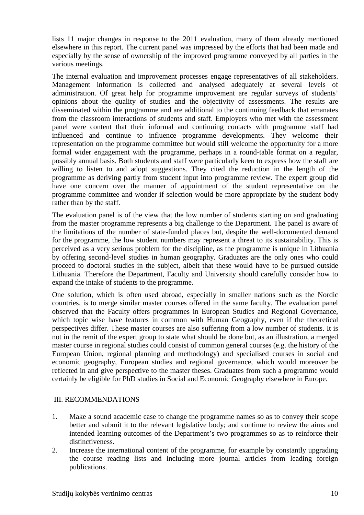lists 11 major changes in response to the 2011 evaluation, many of them already mentioned elsewhere in this report. The current panel was impressed by the efforts that had been made and especially by the sense of ownership of the improved programme conveyed by all parties in the various meetings.

The internal evaluation and improvement processes engage representatives of all stakeholders. Management information is collected and analysed adequately at several levels of administration. Of great help for programme improvement are regular surveys of students' opinions about the quality of studies and the objectivity of assessments. The results are disseminated within the programme and are additional to the continuing feedback that emanates from the classroom interactions of students and staff. Employers who met with the assessment panel were content that their informal and continuing contacts with programme staff had influenced and continue to influence programme developments. They welcome their representation on the programme committee but would still welcome the opportunity for a more formal wider engagement with the programme, perhaps in a round-table format on a regular, possibly annual basis. Both students and staff were particularly keen to express how the staff are willing to listen to and adopt suggestions. They cited the reduction in the length of the programme as deriving partly from student input into programme review. The expert group did have one concern over the manner of appointment of the student representative on the programme committee and wonder if selection would be more appropriate by the student body rather than by the staff.

The evaluation panel is of the view that the low number of students starting on and graduating from the master programme represents a big challenge to the Department. The panel is aware of the limitations of the number of state-funded places but, despite the well-documented demand for the programme, the low student numbers may represent a threat to its sustainability. This is perceived as a very serious problem for the discipline, as the programme is unique in Lithuania by offering second-level studies in human geography. Graduates are the only ones who could proceed to doctoral studies in the subject, albeit that these would have to be pursued outside Lithuania. Therefore the Department, Faculty and University should carefully consider how to expand the intake of students to the programme.

One solution, which is often used abroad, especially in smaller nations such as the Nordic countries, is to merge similar master courses offered in the same faculty. The evaluation panel observed that the Faculty offers programmes in European Studies and Regional Governance, which topic wise have features in common with Human Geography, even if the theoretical perspectives differ. These master courses are also suffering from a low number of students. It is not in the remit of the expert group to state what should be done but, as an illustration, a merged master course in regional studies could consist of common general courses (e.g. the history of the European Union, regional planning and methodology) and specialised courses in social and economic geography, European studies and regional governance, which would moreover be reflected in and give perspective to the master theses. Graduates from such a programme would certainly be eligible for PhD studies in Social and Economic Geography elsewhere in Europe.

#### III. RECOMMENDATIONS

- 1. Make a sound academic case to change the programme names so as to convey their scope better and submit it to the relevant legislative body; and continue to review the aims and intended learning outcomes of the Department's two programmes so as to reinforce their distinctiveness.
- 2. Increase the international content of the programme, for example by constantly upgrading the course reading lists and including more journal articles from leading foreign publications.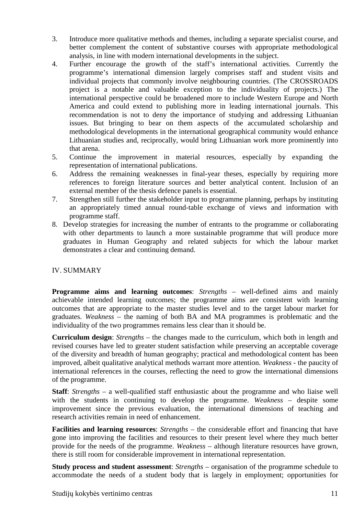- 3. Introduce more qualitative methods and themes, including a separate specialist course, and better complement the content of substantive courses with appropriate methodological analysis, in line with modern international developments in the subject.
- 4. Further encourage the growth of the staff's international activities. Currently the programme's international dimension largely comprises staff and student visits and individual projects that commonly involve neighbouring countries. (The CROSSROADS project is a notable and valuable exception to the individuality of projects.) The international perspective could be broadened more to include Western Europe and North America and could extend to publishing more in leading international journals. This recommendation is not to deny the importance of studying and addressing Lithuanian issues. But bringing to bear on them aspects of the accumulated scholarship and methodological developments in the international geographical community would enhance Lithuanian studies and, reciprocally, would bring Lithuanian work more prominently into that arena.
- 5. Continue the improvement in material resources, especially by expanding the representation of international publications.
- 6. Address the remaining weaknesses in final-year theses, especially by requiring more references to foreign literature sources and better analytical content. Inclusion of an external member of the thesis defence panels is essential.
- 7. Strengthen still further the stakeholder input to programme planning, perhaps by instituting an appropriately timed annual round-table exchange of views and information with programme staff.
- 8. Develop strategies for increasing the number of entrants to the programme or collaborating with other departments to launch a more sustainable programme that will produce more graduates in Human Geography and related subjects for which the labour market demonstrates a clear and continuing demand.

# IV. SUMMARY

**Programme aims and learning outcomes:** *Strengths* – well-defined aims and mainly achievable intended learning outcomes; the programme aims are consistent with learning outcomes that are appropriate to the master studies level and to the target labour market for graduates. *Weakness* – the naming of both BA and MA programmes is problematic and the individuality of the two programmes remains less clear than it should be.

**Curriculum design**: *Strengths* – the changes made to the curriculum, which both in length and revised courses have led to greater student satisfaction while preserving an acceptable coverage of the diversity and breadth of human geography; practical and methodological content has been improved, albeit qualitative analytical methods warrant more attention. *Weakness* - the paucity of international references in the courses, reflecting the need to grow the international dimensions of the programme.

**Staff**: *Strengths* – a well-qualified staff enthusiastic about the programme and who liaise well with the students in continuing to develop the programme. *Weakness* – despite some improvement since the previous evaluation, the international dimensions of teaching and research activities remain in need of enhancement.

**Facilities and learning resources**: *Strengths* – the considerable effort and financing that have gone into improving the facilities and resources to their present level where they much better provide for the needs of the programme. *Weakness* – although literature resources have grown, there is still room for considerable improvement in international representation.

**Study process and student assessment**: *Strengths* – organisation of the programme schedule to accommodate the needs of a student body that is largely in employment; opportunities for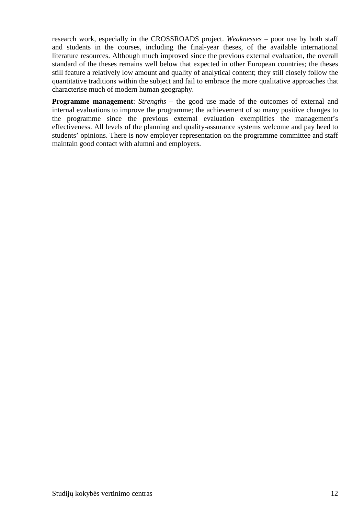research work, especially in the CROSSROADS project. *Weaknesses –* poor use by both staff and students in the courses, including the final-year theses, of the available international literature resources. Although much improved since the previous external evaluation, the overall standard of the theses remains well below that expected in other European countries; the theses still feature a relatively low amount and quality of analytical content; they still closely follow the quantitative traditions within the subject and fail to embrace the more qualitative approaches that characterise much of modern human geography.

**Programme management:** *Strengths* – the good use made of the outcomes of external and internal evaluations to improve the programme; the achievement of so many positive changes to the programme since the previous external evaluation exemplifies the management's effectiveness. All levels of the planning and quality-assurance systems welcome and pay heed to students' opinions. There is now employer representation on the programme committee and staff maintain good contact with alumni and employers.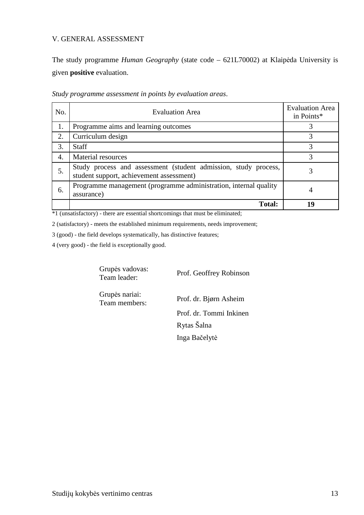# V. GENERAL ASSESSMENT

The study programme *Human Geography* (state code – 621L70002) at Klaipėda University is given **positive** evaluation.

| No. | <b>Evaluation Area</b>                                                                                      | <b>Evaluation Area</b><br>in Points* |
|-----|-------------------------------------------------------------------------------------------------------------|--------------------------------------|
| 1.  | Programme aims and learning outcomes                                                                        |                                      |
| 2.  | Curriculum design                                                                                           |                                      |
| 3.  | <b>Staff</b>                                                                                                | 3                                    |
| 4.  | Material resources                                                                                          |                                      |
| 5.  | Study process and assessment (student admission, study process,<br>student support, achievement assessment) | 3                                    |
| 6.  | Programme management (programme administration, internal quality<br>assurance)                              | 4                                    |
|     | <b>Total:</b>                                                                                               | 19                                   |

*Study programme assessment in points by evaluation areas*.

\*1 (unsatisfactory) - there are essential shortcomings that must be eliminated;

2 (satisfactory) - meets the established minimum requirements, needs improvement;

3 (good) - the field develops systematically, has distinctive features;

4 (very good) - the field is exceptionally good.

Grupės vadovas:

Grupes vadovas:<br>
Team leader: Prof. Geoffrey Robinson

Grupės nariai:

Team members: Prof. dr. Bjørn Asheim Prof. dr. Tommi Inkinen Rytas Šalna Inga Bačelytė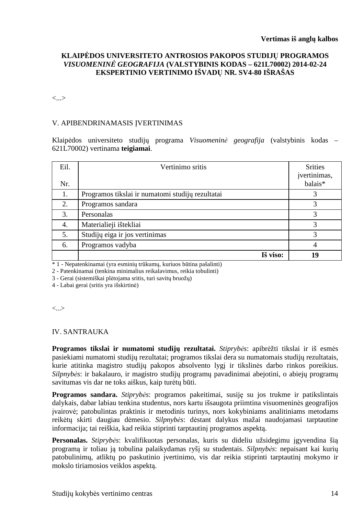# **KLAIPĖDOS UNIVERSITETO ANTROSIOS PAKOPOS STUDIJŲ PROGRAMOS**  *VISUOMENINĖ GEOGRAFIJA* **(VALSTYBINIS KODAS – 621L70002) 2014-02-24 EKSPERTINIO VERTINIMO IŠVADŲ NR. SV4-80 IŠRAŠAS**

<...>

### V. APIBENDRINAMASIS ĮVERTINIMAS

Klaipėdos universiteto studijų programa *Visuomeninė geografija* (valstybinis kodas – 621L70002) vertinama **teigiamai**.

| Eil. | Vertinimo sritis                                 | <b>Srities</b><br>įvertinimas, |
|------|--------------------------------------------------|--------------------------------|
| Nr.  |                                                  | balais*                        |
| 1.   | Programos tikslai ir numatomi studijų rezultatai |                                |
| 2.   | Programos sandara                                |                                |
| 3.   | Personalas                                       |                                |
| 4.   | Materialieji ištekliai                           | 3                              |
| 5.   | Studijų eiga ir jos vertinimas                   |                                |
| 6.   | Programos vadyba                                 | 4                              |
|      | Iš viso:                                         | 19                             |

\* 1 - Nepatenkinamai (yra esminių trūkumų, kuriuos būtina pašalinti)

2 - Patenkinamai (tenkina minimalius reikalavimus, reikia tobulinti)

3 - Gerai (sistemiškai plėtojama sritis, turi savitų bruožų)

4 - Labai gerai (sritis yra išskirtinė)

<...>

#### IV. SANTRAUKA

**Programos tikslai ir numatomi studijų rezultatai.** *Stiprybės*: apibrėžti tikslai ir iš esmės pasiekiami numatomi studijų rezultatai; programos tikslai dera su numatomais studijų rezultatais, kurie atitinka magistro studijų pakopos absolvento lygį ir tikslinės darbo rinkos poreikius. *Silpnybės*: ir bakalauro, ir magistro studijų programų pavadinimai abejotini, o abiejų programų savitumas vis dar ne toks aiškus, kaip turėtų būti.

**Programos sandara.** *Stiprybės*: programos pakeitimai, susiję su jos trukme ir patikslintais dalykais, dabar labiau tenkina studentus, nors kartu išsaugota priimtina visuomeninės geografijos įvairovė; patobulintas praktinis ir metodinis turinys, nors kokybiniams analitiniams metodams reikėtų skirti daugiau dėmesio. *Silpnybės*: dėstant dalykus mažai naudojamasi tarptautine informacija; tai reiškia, kad reikia stiprinti tarptautinį programos aspektą.

**Personalas.** *Stiprybės*: kvalifikuotas personalas, kuris su dideliu užsidegimu įgyvendina šią programą ir toliau ją tobulina palaikydamas ryšį su studentais. *Silpnybės*: nepaisant kai kurių patobulinimų, atliktų po paskutinio įvertinimo, vis dar reikia stiprinti tarptautinį mokymo ir mokslo tiriamosios veiklos aspektą.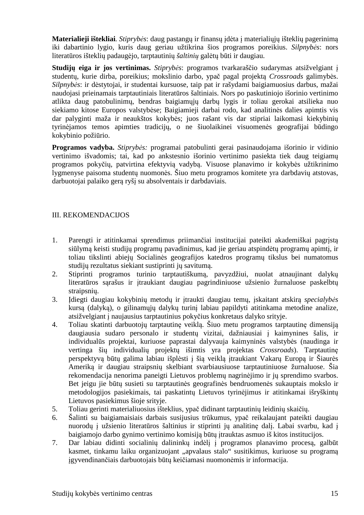**Materialieji ištekliai***. Stiprybės*: daug pastangų ir finansų įdėta į materialiųjų išteklių pagerinimą iki dabartinio lygio, kuris daug geriau užtikrina šios programos poreikius. *Silpnybės*: nors literatūros išteklių padaugėjo, tarptautinių *šaltinių* galėtų būti ir daugiau.

**Studijų eiga ir jos vertinimas.** *Stiprybės*: programos tvarkaraščio sudarymas atsižvelgiant į studentų, kurie dirba, poreikius; mokslinio darbo, ypač pagal projektą *Crossroads* galimybės. *Silpnybės*: ir dėstytojai, ir studentai kursuose, taip pat ir rašydami baigiamuosius darbus, mažai naudojasi prieinamais tarptautiniais literatūros šaltiniais. Nors po paskutiniojo išorinio vertinimo atlikta daug patobulinimų, bendras baigiamųjų darbų lygis ir toliau gerokai atsilieka nuo siekiamo kitose Europos valstybėse; Baigiamieji darbai rodo, kad analitinės dalies apimtis vis dar palyginti maža ir neaukštos kokybės; juos rašant vis dar stipriai laikomasi kiekybinių tyrinėjamos temos apimties tradicijų, o ne šiuolaikinei visuomenės geografijai būdingo kokybinio požiūrio.

**Programos vadyba.** *Stiprybės:* programai patobulinti gerai pasinaudojama išorinio ir vidinio vertinimo išvadomis; tai, kad po ankstesnio išorinio vertinimo pasiekta tiek daug teigiamų programos pokyčių, patvirtina efektyvią vadybą. Visuose planavimo ir kokybės užtikrinimo lygmenyse paisoma studentų nuomonės. Šiuo metu programos komitete yra darbdavių atstovas, darbuotojai palaiko gerą ryšį su absolventais ir darbdaviais.

#### III. REKOMENDACIJOS

- 1. Parengti ir atitinkamai sprendimus priimančiai institucijai pateikti akademiškai pagrįstą siūlymą keisti studijų programų pavadinimus, kad jie geriau atspindėtų programų apimtį, ir toliau tikslinti abiejų Socialinės geografijos katedros programų tikslus bei numatomus studijų rezultatus siekiant sustiprinti jų savitumą.
- 2. Stiprinti programos turinio tarptautiškumą, pavyzdžiui, nuolat atnaujinant dalykų literatūros sąrašus ir įtraukiant daugiau pagrindiniuose užsienio žurnaluose paskelbtų straipsnių.
- 3. Įdiegti daugiau kokybinių metodų ir įtraukti daugiau temų, įskaitant atskirą *specialybės*  kursą (dalyką), o gilinamųjų dalykų turinį labiau papildyti atitinkama metodine analize, atsižvelgiant į naujausius tarptautinius pokyčius konkretaus dalyko srityje.
- 4. Toliau skatinti darbuotojų tarptautinę veiklą. Šiuo metu programos tarptautinę dimensiją daugiausia sudaro personalo ir studentų vizitai, dažniausiai į kaimynines šalis, ir individualūs projektai, kuriuose paprastai dalyvauja kaimyninės valstybės (naudinga ir vertinga šių individualių projektų išimtis yra projektas *Crossroads*). Tarptautinę perspektyvą būtų galima labiau išplėsti į šią veiklą įtraukiant Vakarų Europą ir Šiaurės Ameriką ir daugiau straipsnių skelbiant svarbiausiuose tarptautiniuose žurnaluose. Šia rekomendacija nenorima paneigti Lietuvos problemų nagrinėjimo ir jų sprendimo svarbos. Bet jeigu jie būtų susieti su tarptautinės geografinės bendruomenės sukauptais mokslo ir metodologijos pasiekimais, tai paskatintų Lietuvos tyrinėjimus ir atitinkamai išryškintų Lietuvos pasiekimus šioje srityje.
- 5. Toliau gerinti materialiuosius išteklius, ypač didinant tarptautinių leidinių skaičių.
- 6. Šalinti su baigiamaisiais darbais susijusius trūkumus, ypač reikalaujant pateikti daugiau nuorodų į užsienio literatūros šaltinius ir stiprinti jų analitinę dalį. Labai svarbu, kad į baigiamojo darbo gynimo vertinimo komisiją būtų įtrauktas asmuo iš kitos institucijos.
- 7. Dar labiau didinti socialinių dalininkų indėlį į programos planavimo procesą, galbūt kasmet, tinkamu laiku organizuojant "apvalaus stalo" susitikimus, kuriuose su programą įgyvendinančiais darbuotojais būtų keičiamasi nuomonėmis ir informacija.